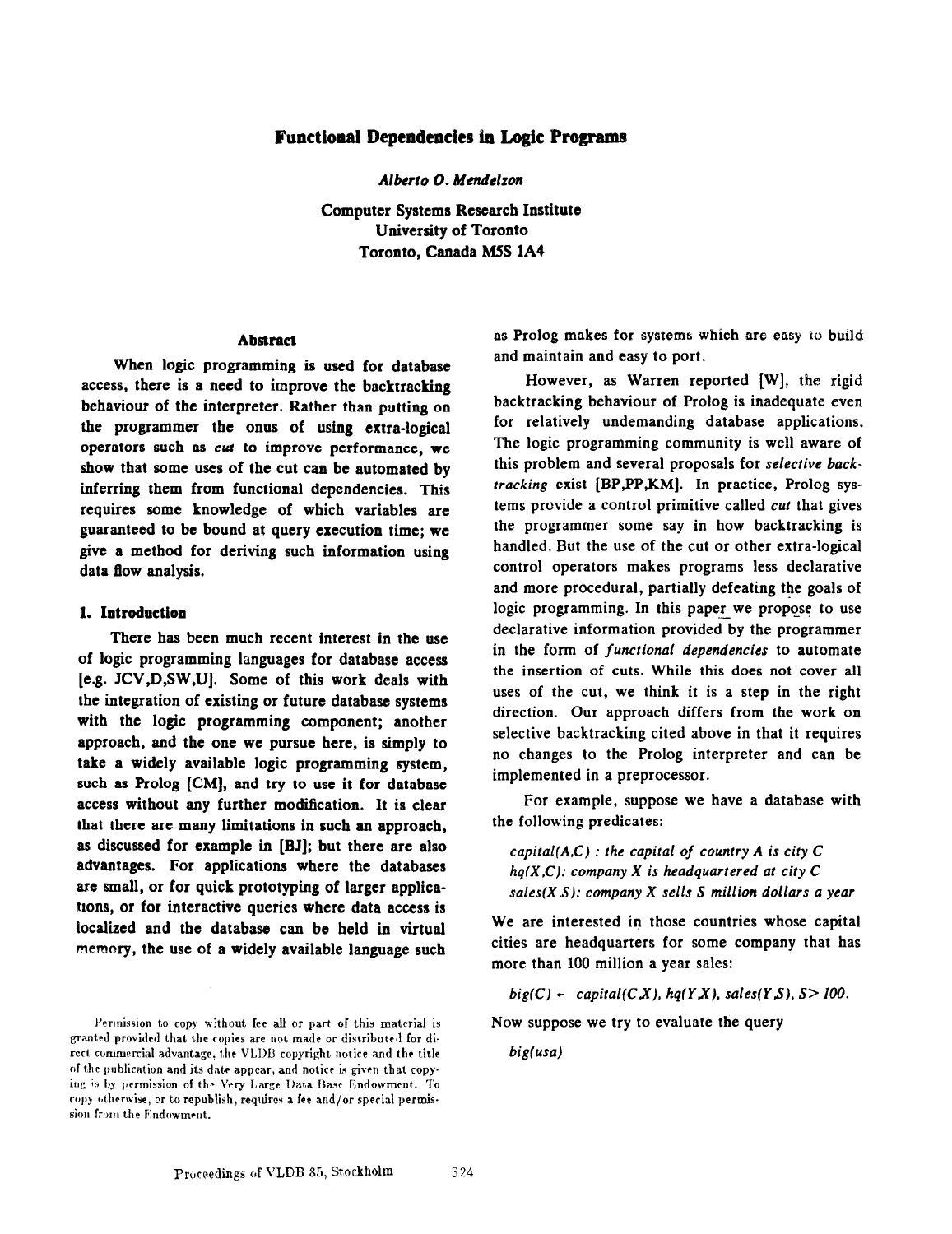# Functional Dependencies in Logic Programs

Alberto O. Mendelzon

Computer Systems Research Institute University of Toronto Toronto, Canada MSS lA4

### Abstract

When logic programming is used for database access, there is a need to improve the backtracking behaviour of the interpreter. Rather than putting on the programmer the onus of using extra-logical operators such as cul to improve performance, we show that some uses of the cut can be automated by inferring them from functional dependencies. This requires some knowledge of which variables are guaranteed to be bound at query execution time; we give a method for deriving such information using data flow analysis.

#### 1. Introduction

There has been much recent interest in the use of logic programming languages for database access [e.g. JCV,D,SW,U]. Some of this work deals with the integration of existing or future database systems with the logic programming component; another approach, and the one we pursue here, is simply to take a widely available logic programming system, such as Prolog [CM], and try to use it for database access without any further modification. It is clear that there are many limitations in such an approach, as discussed for example in [BJ]; but there are also advantages. For applications where the databases are small, or for quick prototyping of larger applications, or for interactive queries where data access is localized and the database can be held in virtual memory, the use of a widely available language such

as Prolog makes for systems which are easy to build and maintain and easy to port.

However, as Warren reported [W], the rigid backtracking behaviour of Prolog is inadequate even for relatively undemanding database applications. The logic programming community is well aware of this problem and several proposals for selective backtracking exist [BP,PP,KM]. In practice, Prolog systems provide a control primitive called cut that gives the programmer some say in how backtracking is handled. But the use of the cut or other extra-logical control operators makes programs less declarative and more procedural, partially defeating the goals of logic programming. In this paper we propose to use declarative information provided by the programmer in the form of functional dependencies to automate the insertion of cuts. While this does not cover all uses of the cut, we think it is a step in the right direction. Our approach differs from the work on selective backtracking cited above in that it requires no changes to the Prolog interpreter and can be implemented in a preprocessor.

For example, suppose we have a database with the following predicates:

capital( $A,C$ ) : the capital of country  $A$  is city  $C$  $hq(X,C)$ : company X is headquartered at city C sales( $X, S$ ): company  $X$  sells  $S$  million dollars a year

We are interested in those countries whose capital cities are headquarters for some company that has more than 100 million a year sales:

big(C) - capital(CX), hq(YX), sales(YS),  $S > 100$ .

Now suppose we try to evaluate the query

 $big($ usa)

Permission to copy without fee all or part of this material is granted provided that the copies are not made or distributed for direct commercial advantage, the VLDB copyright notice and the title of the publication and its date appear, and notice is given that copying is by permission of the Very Large Data Base Endowment. To copy otherwise, or to republish, requires a fee and/or special permission from the Endowment.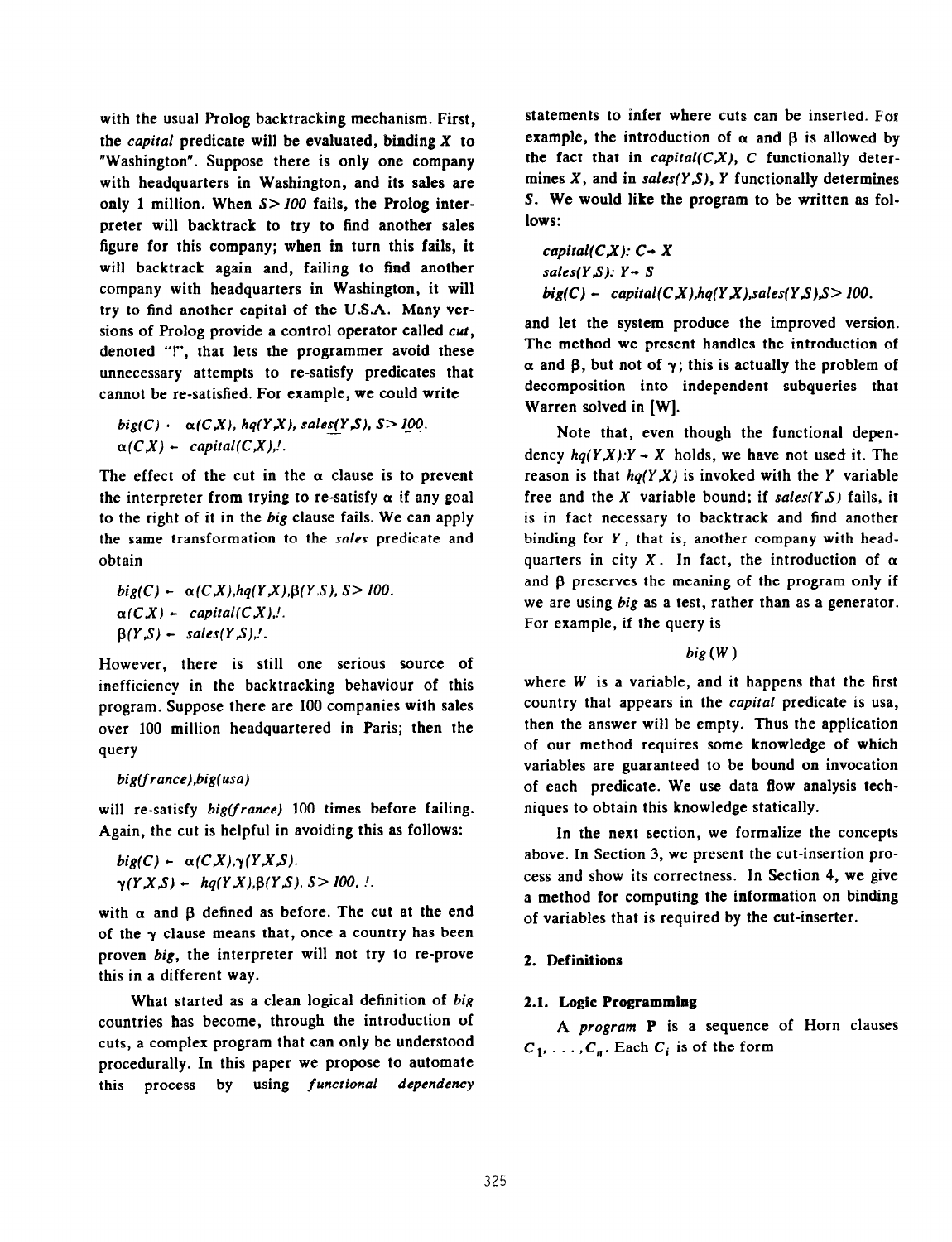with the usual Prolog backtracking mechanism. First, the *capital* predicate will be evaluated, binding  $X$  to "Washington". Suppose there is only one company with headquarters in Washington, and its sales are only 1 million. When  $S > 100$  fails, the Prolog interpreter will backtrack to try to find another sales figure for this company; when in turn this fails, it will backtrack again and, failing to find another company with headquarters in Washington, it will try to find another capital of the U.S.A. Many versions of Prolog provide a control operator called *cut*, denoted "!", that lets the programmer avoid these unnecessary attempts to re-satisfy predicates that cannot be re-satisfied. For example, we could write

 $big(C)$  -  $\alpha(C,X)$ , hq(Y,X), sales(Y,S), S>100.  $\alpha(C,X)$  - capital(C,X),!.

The effect of the cut in the  $\alpha$  clause is to prevent the interpreter from trying to re-satisfy  $\alpha$  if any goal to the right of it in the big clause fails. We can apply the same transformation to the sales predicate and obtain

 $big(C)$  -  $\alpha(C,X),$ hq(Y,X), $\beta(Y,S)$ , S > 100.  $\alpha(C,X)$  - capital(CX),!.  $\beta(Y, S)$  + sales(Y, S),!.

However, there is still one serious source of inefficiency in the backtracking behaviour of this program. Suppose there are 100 companies with sales over 100 million headquartered in Paris; then the query

## big(france),big(usa)

will re-satisfy big(france) 100 times before failing. Again, the cut is helpful in avoiding this as follows:

 $big(C)$  -  $\alpha(C,X), \gamma(Y,X,S)$ .  $\gamma(YX,S) - hq(Y,X), \beta(Y,S), S > 100,$ 

with  $\alpha$  and  $\beta$  defined as before. The cut at the end of the  $\gamma$  clause means that, once a country has been proven big, the interpreter will not try to re-prove this in a different way.

What started as a clean logical definition of big countries has become, through the introduction of cuts, a complex program that can only be understood procedurally. In this paper we propose to automate this process by using functional dependency

statements to infer where cuts can be inserted. For example, the introduction of  $\alpha$  and  $\beta$  is allowed by the fact that in *capital(C,X)*, C functionally determines  $X$ , and in sales( $Y.S$ ),  $Y$  functionally determines S. We would like the program to be written as follows:

capital( $C,X$ ):  $C \rightarrow X$  $sales(Y, S): Y \rightarrow S$  $big(C)$  - capital(C,X),hq(Y,X),sales(Y,S),S > 100.

and let the system produce the improved version. The method we present handles the introduction of  $\alpha$  and  $\beta$ , but not of  $\gamma$ ; this is actually the problem of decomposition into independent subqueries that Warren solved in [WI.

Note that, even though the functional dependency  $hq(Y,X):Y \rightarrow X$  holds, we have not used it. The reason is that  $hq(Y,X)$  is invoked with the Y variable free and the X variable bound; if  $sales(Y,S)$  fails, it is in fact necessary to backtrack and find another binding for Y, that is, another company with headquarters in city  $X$ . In fact, the introduction of  $\alpha$ and  $\beta$  preserves the meaning of the program only if we are using big as a test, rather than as a generator. For example, if the query is

### $big(W)$

where W is a variable, and it happens that the first country that appears in the capital predicate is usa, then the answer will be empty. Thus the application of our method requires some knowledge of which variables are guaranteed to be bound on invocation of each predicate. We use data flow analysis techniques to obtain this knowledge statically.

In the next section, we formalize the concepts above. In Section 3, we present the cut-insertion process and show its correctness. In Section 4, we give a method for computing the information on binding of variables that is required by the cut-inserter.

## 2. Definitions

### 2.1. Logic Programming

A program P is a sequence of Horn clauses  $C_1, \ldots, C_n$ . Each  $C_i$  is of the form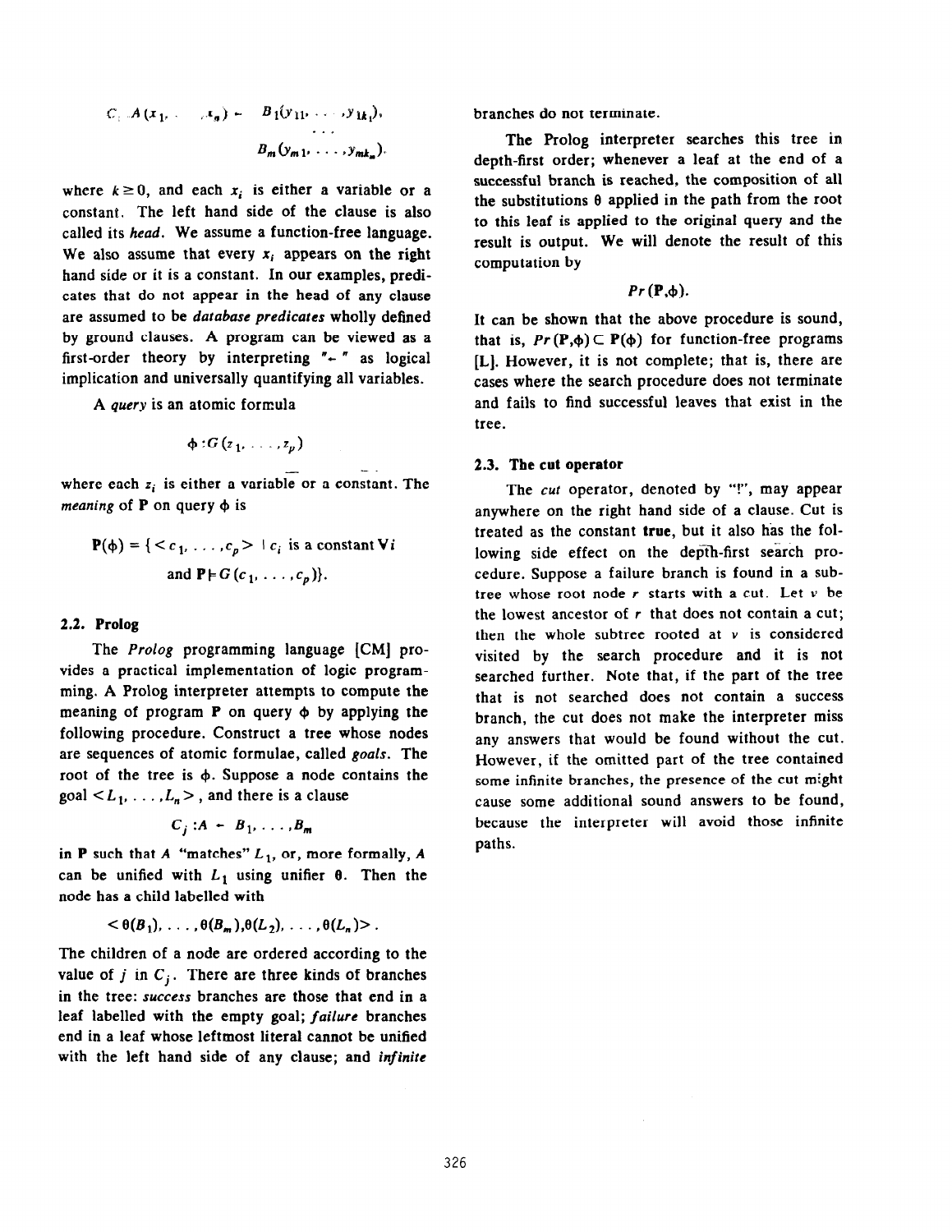$$
C_1 \cup A(x_1, \ldots, x_n) = B_1(y_{11}, \ldots, y_{1k_1}),
$$
  

$$
B_m(y_{m1}, \ldots, y_{mk_m}).
$$

where  $k \ge 0$ , and each  $x_i$  is either a variable or a constant. The left hand side of the clause is also called its head. We assume a function-free language. We also assume that every  $x_i$  appears on the right hand side or it is a constant. In our examples, predicates that do not appear in the head of any clause are assumed to be database predicates wholly defined by ground clauses. A program can be viewed as a first-order theory by interpreting  $"$  - " as logical implication and universally quantifying all variables.

A query is an atomic formula

$$
\phi: G(z_1,\ldots,z_p)
$$

. where each  $z_i$  is either a variable or a constant. The meaning of  $P$  on query  $\phi$  is

$$
\mathbf{P}(\phi) = \{ < c_1, \ldots, c_p > \mid c_i \text{ is a constant } \mathbf{V}i \text{ and } \mathbf{P} \models G(c_1, \ldots, c_p)\}.
$$

#### 2.2. Prolog

The Prolog programming language [CM] provides a practical implementation of logic programming. A Prolog interpreter attempts to compute the meaning of program  $P$  on query  $\phi$  by applying the following procedure. Construct a tree whose nodes are sequences of atomic formulae, called goals. The root of the tree is  $\phi$ . Suppose a node contains the goal  $\leq L_1, \ldots, L_n$ , and there is a clause

$$
C_j : A - B_1, \ldots, B_m
$$

in P such that A "matches"  $L_1$ , or, more formally, A can be unified with  $L_1$  using unifier  $\theta$ . Then the node has a child labelled with

$$
<\theta(B_1),\ldots,\theta(B_m),\theta(L_2),\ldots,\theta(L_n)>.
$$

The children of a node are ordered according to the value of j in  $C_i$ . There are three kinds of branches in the tree: Success branches are those that end in a leaf labelled with the empty goal; failure branches end in a leaf whose leftmost literal cannot be unified with the left hand side of any clause; and infinite

branches do not terminate.

The Prolog interpreter searches this tree in depth-first order; whenever a leaf at the end of a successful branch is reached, the composition of all the substitutions  $\theta$  applied in the path from the root to this leaf is applied to the original query and the result is output. We will denote the result of this computation by

$$
Pr(\mathbf{P},\phi).
$$

It can be shown that the above procedure is sound, that is,  $Pr(P,\phi) \subset P(\phi)$  for function-free programs [L]. However, it is not complete; that is, there are cases where the search procedure does not terminate and fails to find successful leaves that exist in the tree.

#### 2.3. The cut operator

The cut operator, denoted by "!", may appear anywhere on the right hand side of a clause. Cut is treated as the constant true, but it also has the following side effect on the depth-first search procedure. Suppose a failure branch is found in a subtree whose root node  $r$  starts with a cut. Let  $v$  be the lowest ancestor of  $r$  that does not contain a cut; then the whole subtree rooted at  $v$  is considered visited by the search procedure and it is not searched further. Note that, if the part of the tree that is not searched does not contain a success branch, the cut does not make the interpreter miss any answers that would be found without the cut. However, if the omitted part of the tree contained some infinite branches, the presence of the cut might cause some additional sound answers to be found, because the interpreter will avoid those infinite paths.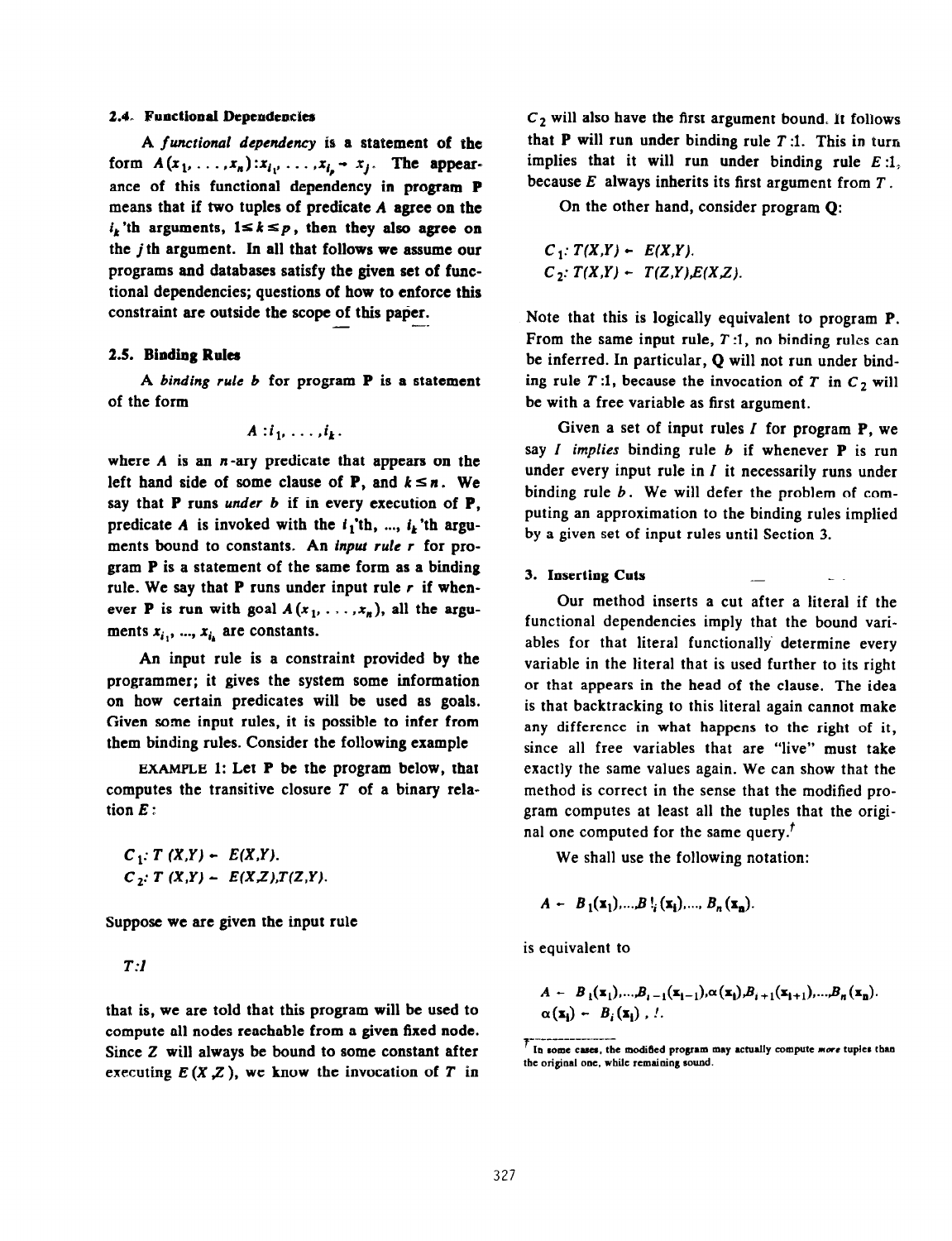### 2.4. Functional Dependencies

A functional dependency is a statement of the form  $A(x_1, \ldots, x_n): x_{i_1}, \ldots, x_{i_n} - x_j$ . The appearance of this functional dependency in program P means that if two tuples of predicate A agree on the  $i_k$ 'th arguments,  $1 \leq k \leq p$ , then they also agree on the j th argument. In all that follows we assume our programs and databases satisfy the given set of functional dependencies; questions of how to enforce this constraint are outside the scope of this paper.

### 2.5. Binding Rulea

A binding rule  $b$  for program  $P$  is a statement of the form

$$
A : i_1, \ldots, i_k.
$$

where  $A$  is an  $n$ -ary predicate that appears on the left hand side of some clause of **P**, and  $k \le n$ . We say that  $P$  runs *under b* if in every execution of  $P$ , predicate A is invoked with the  $i_1$ 'th, ...,  $i_k$ 'th arguments bound to constants. An input rule r for program P is a statement of the same form as a binding rule. We say that **P** runs under input rule  $r$  if whenever **P** is run with goal  $A(x_1, \ldots, x_n)$ , all the arguments  $x_{i_1}, ..., x_{i_k}$  are constants.

An input rule is a constraint provided by the programmer; it gives the system some information on how certain predicates will be used as goals. Given some input rules, it is possible to infer from them binding rules. Consider the following example

EXAMPLE 1: Let P be the program below, that computes the transitive closure  $T$  of a binary relation E:

 $C_1$ : T  $(X,Y)$  -  $E(X,Y)$ .  $C_2$ : T  $(X,Y) - E(X,Z),T(Z,Y)$ .

Suppose we are given the input rule

T:l

that is, we are told that this program will be used to compute all nodes reachable from a given fixed node. Since Z will always be bound to some constant after executing  $E(X, Z)$ , we know the invocation of T in  $C_2$  will also have the first argument bound. It follows that  $P$  will run under binding rule  $T:1$ . This in turn implies that it will run under binding rule  $E:1$ , because  $E$  always inherits its first argument from  $T$ .

On the other hand, consider program Q:

 $C_1$ :  $T(X,Y) - E(X,Y)$ .  $C_2$ :  $T(X,Y) - T(Z,Y), E(X,Z)$ .

Note that this is logically equivalent to program P. From the same input rule,  $T:1$ , no binding rules can be inferred. In particular, Q will not run under binding rule T:1, because the invocation of T in  $C_2$  will be with a free variable as first argument.

Given a set of input rules  $I$  for program  $P$ , we say  $I$  implies binding rule  $b$  if whenever  $P$  is run under every input rule in  $I$  it necessarily runs under binding rule  $b$ . We will defer the problem of computing an approximation to the binding rules implied by a given set of input rules until Section 3.

### 3. Inserting Cuts

Our method inserts a cut after a literal if the functional dependencies imply that the bound variables for that literal functionally determine every variable in the literal that is used further to its right or that appears in the head of the clause. The idea is that backtracking to this literal again cannot make any difference in what happens to the right of it, since all free variables that are "live" must take exactly the same values again. We can show that the method is correct in the sense that the modified program computes at least all the tuples that the original one computed for the same query.<sup> $\prime$ </sup>

We shall use the following notation:

$$
A - B_1(\mathbf{x}_1),...,B_{i}(\mathbf{x}_i),...,B_n(\mathbf{x}_n).
$$

is equivalent to

$$
A - B_1(\mathbf{x}_1),...,B_{i-1}(\mathbf{x}_{i-1}),\alpha(\mathbf{x}_i),B_{i+1}(\mathbf{x}_{i+1}),...,B_n(\mathbf{x}_n).
$$
  

$$
\alpha(\mathbf{x}_i) - B_i(\mathbf{x}_i),...
$$

T------------------<br>I In some cases, the modified program may actually compute more tuples than the original one, while remaining sound.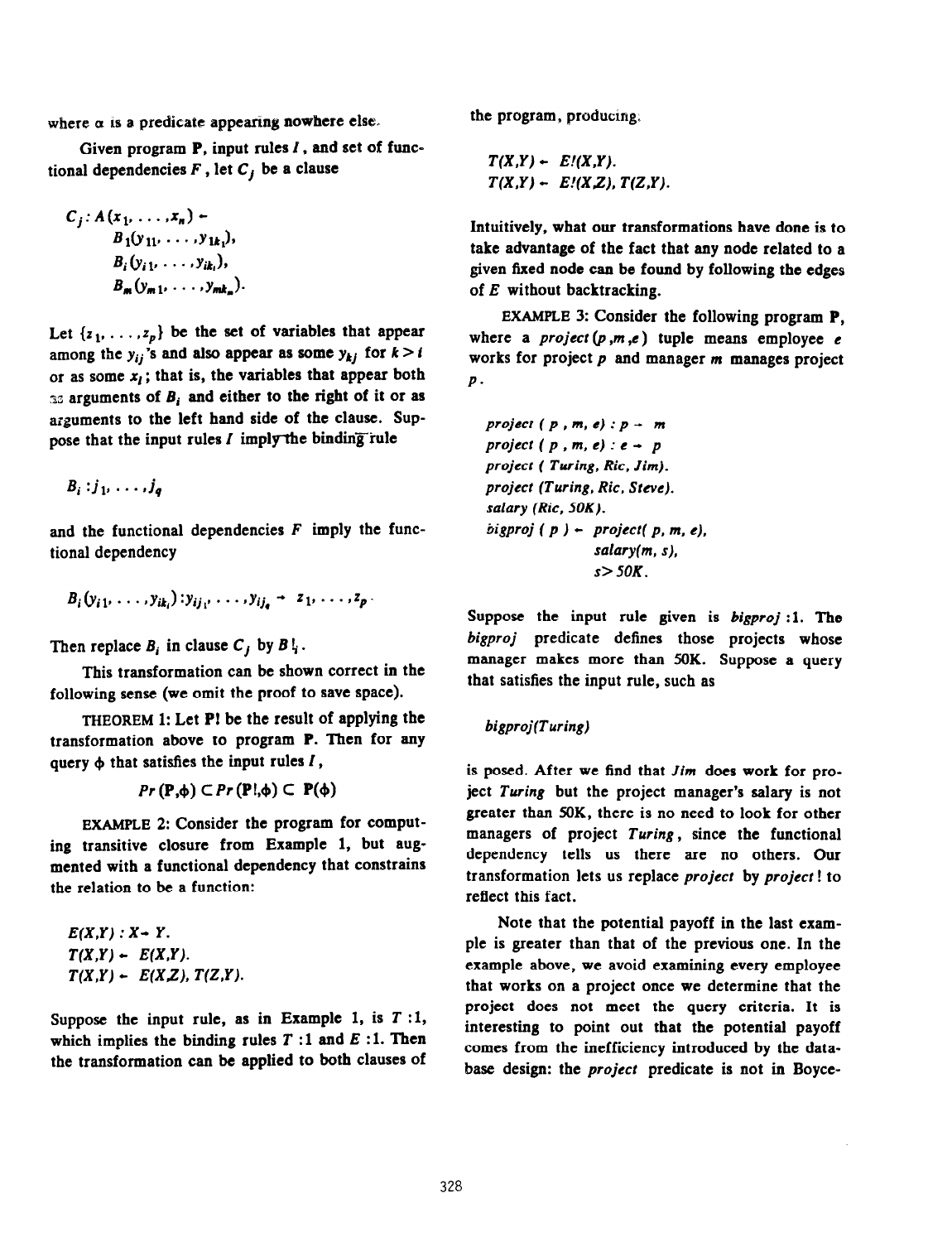where  $\alpha$  is a predicate appearing nowhere else.

Given program  $P$ , input rules  $I$ , and set of functional dependencies  $F$ , let  $C_j$  be a clause

$$
C_j: A(x_1, \ldots, x_n) \leftarrow
$$
  
\n
$$
B_1(y_{11}, \ldots, y_{1k_1}),
$$
  
\n
$$
B_i(y_{i1}, \ldots, y_{ik_i}),
$$
  
\n
$$
B_m(y_{m1}, \ldots, y_{mk_m}).
$$

Let  $\{z_1, \ldots, z_p\}$  be the set of variables that appear among the  $y_{ij}$ 's and also appear as some  $y_{kj}$  for  $k > i$ or as some  $x_i$ ; that is, the variables that appear both 33 arguments of  $B_i$  and either to the right of it or as arguments to the left hand side of the clause. Suppose that the input rules  $I$  imply the binding rule

$$
B_i : j_1, \ldots, j_q
$$

and the functional dependencies  $F$  imply the functional dependency

$$
B_i(y_{i1},\ldots,y_{ik_i}):y_{ij_1},\ldots,y_{ij_n}\rightarrow z_1,\ldots,z_p
$$

Then replace  $B_i$  in clause  $C_j$  by  $B_i$ .

This transformation can be shown correct in the following sense (we omit the proof to save space).

THEOREM 1: Let PI be the result of applying the transformation above to program P. Then for any query  $\phi$  that satisfies the input rules  $I$ ,

 $Pr(\mathbf{P},\phi) \subset Pr(\mathbf{P},\phi) \subset \mathbf{P}(\phi)$ 

EXAMPLE 2: Consider the program for computing transitive closure from Example 1, but augmented with a functional dependency that constrains the relation to be a function:

 $E(X,Y)$  :  $X - Y$ .  $T(X,Y) - E(X,Y)$ .  $T(X,Y) - E(X,Z), T(Z,Y).$ 

Suppose the input rule, as in Example 1, is  $T:1$ , which implies the binding rules  $T:1$  and  $E:1$ . Then the transformation can be applied to both clauses of the program, producing:

$$
T(X,Y) - E/(X,Y).
$$
  
\n $T(X,Y) - E/(X,Z), T(Z,Y).$ 

Intuitively, what our transformations have done is to take advantage of the fact that any node related to a given fixed node can be found by following the edges of  $E$  without backtracking.

EXAMPLE 3: Consider the following program P, where a *project*  $(p, m, e)$  tuple means employee e works for project p and manager m manages project  $\boldsymbol{p}$ .

project  $(p, m, e): p \rightarrow m$ project ( $p, m, e$ ) :  $e - p$ project ( Turing, Ric, Jim). project (Turing, Ric. Sreve). salary (Ric, SOK).  $bigproj ( p ) - project(p, m, e),$  $salary(m, s)$ ,  $s > 50K$ .

Suppose the input rule given is bigproj: 1. The bigproj predicate defines those projects whose manager makes more than 5OK. Suppose a query that satisfies the input rule, such as

### bigproj(Turing)

is posed. After we find that Jim does work for project Turing but the project manager's salary is not greater than 5OK, there is no need to look for other managers of project Turing, since the functional dependency tells us there are no others. Our transformation lets us replace project by projecr ! to reflect this fact.

Note that the potential payoff in the last example is greater than that of the previous one. In the example above, we avoid examining every employee that works on a project once we determine that the project does not meet the query criteria. It is interesting to point out that the potential payoff comes from the inefficiency introduced by the database design: the project predicate is not in Boyce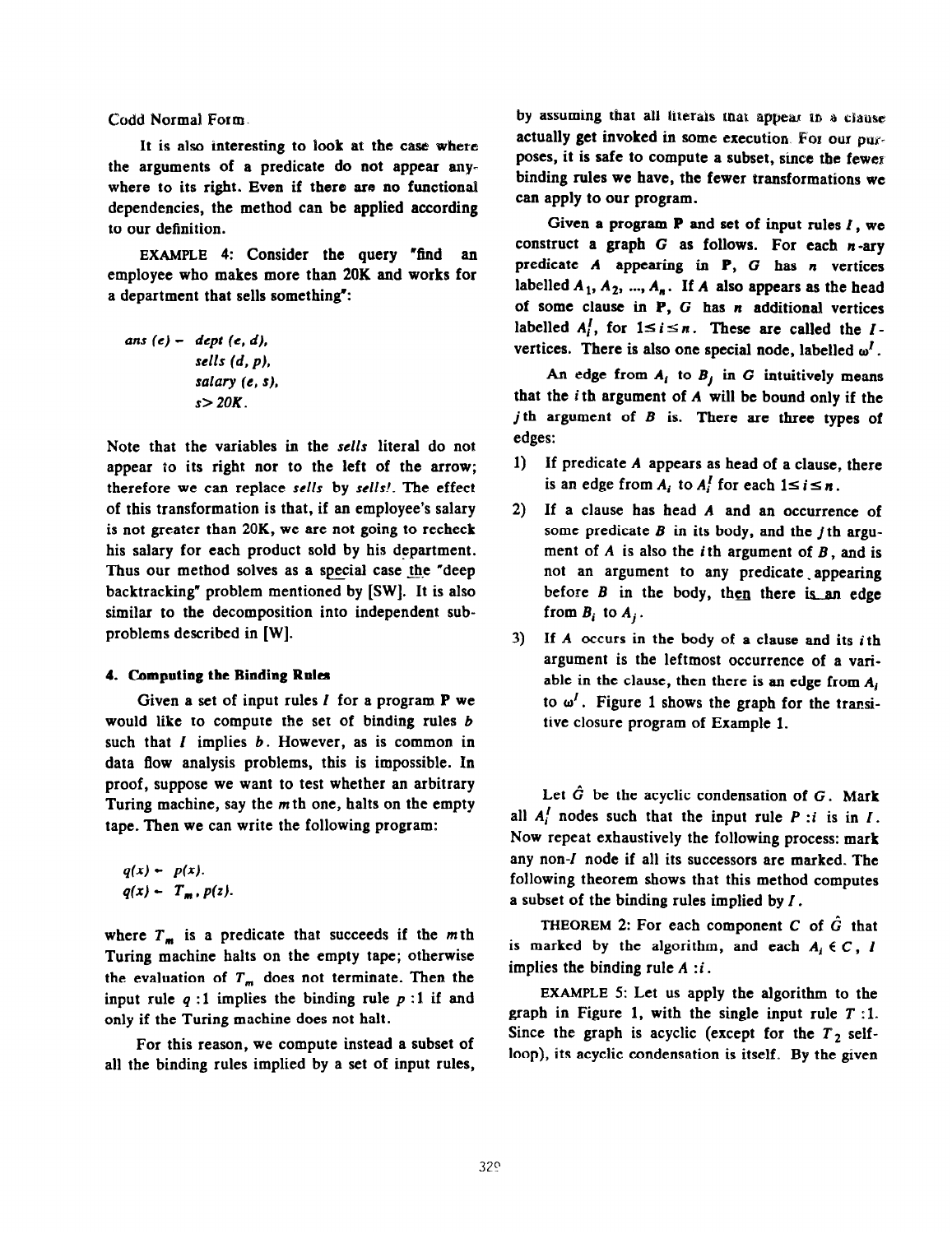Codd Normal Form.

It is also interesting to look at the case where the arguments of a predicate do not appear anywhere to its right. Even if there are no functional dependencies, the method can be applied according to our definition.

EXAMPLE 4: Consider the query "find an employee who makes more than 20K and works for a department that sells something":

ans (e) - dept (e, d),  
sells (d, p),  
salary (e, s),  

$$
s > 20K
$$
.

Note that the variables in the sells literal do not appear to its right nor to the left of the arrow; therefore we can replace sells by sells!. The effect of this transformation is that, if an employee's salary is not greater than 20K, we are not going to recheck his salary for each product sold by his department. Thus our method solves as a special case the "deep backtracking" problem mentioned by [SW]. It is also similar to the decomposition into independent subproblems described in [WI.

### 4. Computing the Binding Rules

Given a set of input rules  $I$  for a program  $P$  we would like to compute the set of binding rules b such that  $I$  implies  $b$ . However, as is common in data flow analysis problems, this is impossible. In proof, suppose we want to test whether an arbitrary Turing machine, say the  $m$  th one, halts on the empty tape. Then we can write the following program:

$$
q(x) - p(x),
$$
  
 
$$
q(x) - T_m, p(z).
$$

where  $T_m$  is a predicate that succeeds if the m<sub>th</sub> Turing machine halts on the empty tape; otherwise the evaluation of  $T_m$  does not terminate. Then the input rule  $q:1$  implies the binding rule  $p:1$  if and only if the Turing machine does not halt.

For this reason, we compute instead a subset of all the binding rules implied by a set of input rules,

by assuming that all literals that appear in a clause actually get invoked in some execution. For our purposes, it is safe to compute a subset, since the fewer binding rules we have, the fewer transformations we can apply to our program.

Given a program  $P$  and set of input rules  $I$ , we construct a graph  $G$  as follows. For each  $n$ -ary predicate  $A$  appearing in  $P$ ,  $G$  has  $n$  vertices labelled  $A_1, A_2, ..., A_n$ . If A also appears as the head of some clause in  $P$ ,  $G$  has  $n$  additional vertices labelled  $A_i^I$ , for  $1 \le i \le n$ . These are called the Ivertices. There is also one special node, labelled  $\omega'$ .

An edge from  $A_i$  to  $B_j$  in G intuitively means that the i th argument of A will be bound only if the j th argument of  $B$  is. There are three types of edges:

- 1) If predicate A appears as head of a clause, there is an edge from A<sub>i</sub> to A<sup>l</sup> for each  $1 \le i \le n$ .
- 2) If a clause has head A and an occurrence of some predicate  $B$  in its body, and the *i*th argument of  $A$  is also the *i*th argument of  $B$ , and is not an argument to any predicate appearing before  $B$  in the body, then there is an edge from  $B_i$  to  $A_i$ .
- 3) If  $A$  occurs in the body of a clause and its *i*th argument is the leftmost occurrence of a variable in the clause, then there is an edge from  $A_i$ to  $\omega'$ . Figure 1 shows the graph for the transitive closure program of Example 1.

Let  $\hat{G}$  be the acyclic condensation of  $G$ . Mark all  $A_i^I$  nodes such that the input rule P :i is in I. Now repeat exhaustively the following process: mark any non-I node if all its successors are marked. The following theorem shows that this method computes a subset of the binding rules implied by I.

THEOREM 2: For each component  $C$  of  $\hat{G}$  that is marked by the algorithm, and each  $A_i \in C$ , I implies the binding rule  $A$  :*i*.

EXAMPLE 5: Let us apply the algorithm to the graph in Figure 1, with the single input rule  $T$ :1. Since the graph is acyclic (except for the  $T_2$  selfloop), its acyclic condensation is itself. By the given